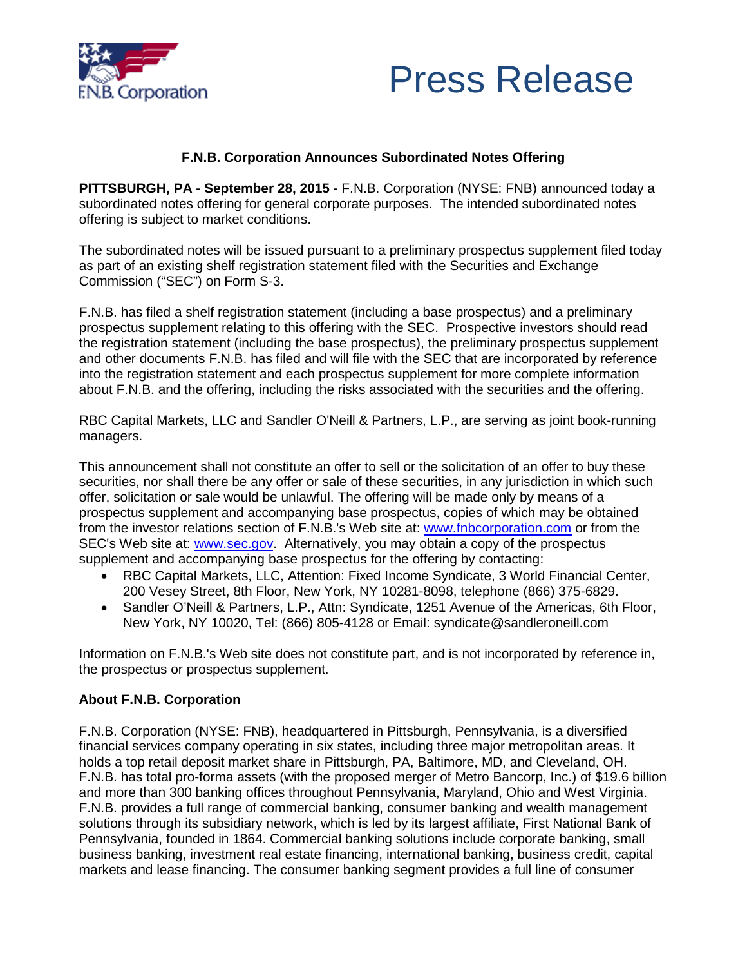



# **F.N.B. Corporation Announces Subordinated Notes Offering**

**PITTSBURGH, PA - September 28, 2015 -** F.N.B. Corporation (NYSE: FNB) announced today a subordinated notes offering for general corporate purposes. The intended subordinated notes offering is subject to market conditions.

The subordinated notes will be issued pursuant to a preliminary prospectus supplement filed today as part of an existing shelf registration statement filed with the Securities and Exchange Commission ("SEC") on Form S-3.

F.N.B. has filed a shelf registration statement (including a base prospectus) and a preliminary prospectus supplement relating to this offering with the SEC. Prospective investors should read the registration statement (including the base prospectus), the preliminary prospectus supplement and other documents F.N.B. has filed and will file with the SEC that are incorporated by reference into the registration statement and each prospectus supplement for more complete information about F.N.B. and the offering, including the risks associated with the securities and the offering.

RBC Capital Markets, LLC and Sandler O'Neill & Partners, L.P., are serving as joint book-running managers.

This announcement shall not constitute an offer to sell or the solicitation of an offer to buy these securities, nor shall there be any offer or sale of these securities, in any jurisdiction in which such offer, solicitation or sale would be unlawful. The offering will be made only by means of a prospectus supplement and accompanying base prospectus, copies of which may be obtained from the investor relations section of F.N.B.'s Web site at: www.fnbcorporation.com or from the SEC's Web site at: **www.sec.gov.** Alternatively, you may obtain a copy of the prospectus supplement and accompanying base prospectus for the offering by contacting:

- RBC Capital Markets, LLC, Attention: Fixed Income Syndicate, 3 World Financial Center, 200 Vesey Street, 8th Floor, New York, NY 10281-8098, telephone (866) 375-6829.
- Sandler O'Neill & Partners, L.P., Attn: Syndicate, 1251 Avenue of the Americas, 6th Floor, New York, NY 10020, Tel: (866) 805-4128 or Email: syndicate@sandleroneill.com

Information on F.N.B.'s Web site does not constitute part, and is not incorporated by reference in, the prospectus or prospectus supplement.

### **About F.N.B. Corporation**

F.N.B. Corporation (NYSE: FNB), headquartered in Pittsburgh, Pennsylvania, is a diversified financial services company operating in six states, including three major metropolitan areas. It holds a top retail deposit market share in Pittsburgh, PA, Baltimore, MD, and Cleveland, OH. F.N.B. has total pro-forma assets (with the proposed merger of Metro Bancorp, Inc.) of \$19.6 billion and more than 300 banking offices throughout Pennsylvania, Maryland, Ohio and West Virginia. F.N.B. provides a full range of commercial banking, consumer banking and wealth management solutions through its subsidiary network, which is led by its largest affiliate, First National Bank of Pennsylvania, founded in 1864. Commercial banking solutions include corporate banking, small business banking, investment real estate financing, international banking, business credit, capital markets and lease financing. The consumer banking segment provides a full line of consumer